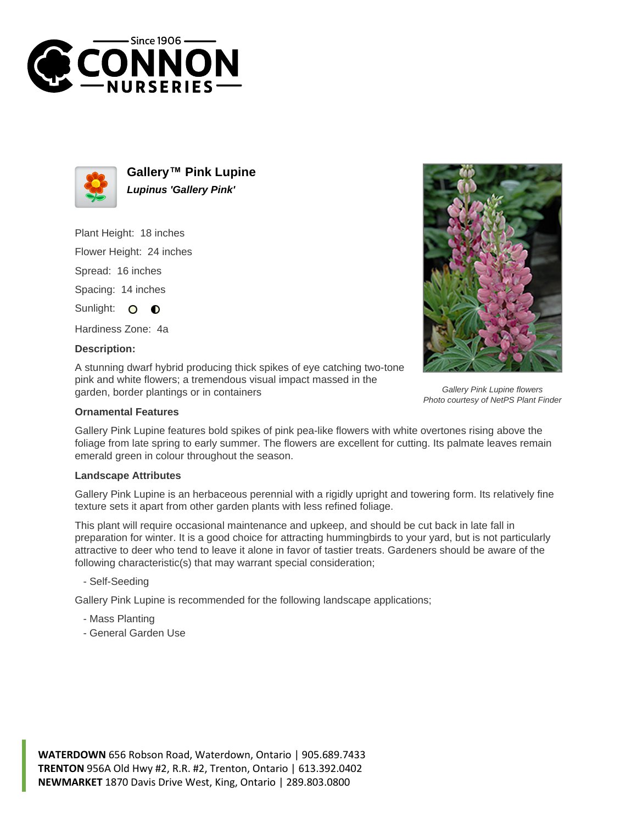



**Gallery™ Pink Lupine Lupinus 'Gallery Pink'**

Plant Height: 18 inches

Flower Height: 24 inches

Spread: 16 inches

Spacing: 14 inches

Sunlight: O  $\bullet$ 

Hardiness Zone: 4a

## **Description:**

A stunning dwarf hybrid producing thick spikes of eye catching two-tone pink and white flowers; a tremendous visual impact massed in the garden, border plantings or in containers



Gallery Pink Lupine features bold spikes of pink pea-like flowers with white overtones rising above the foliage from late spring to early summer. The flowers are excellent for cutting. Its palmate leaves remain emerald green in colour throughout the season.

## **Landscape Attributes**

Gallery Pink Lupine is an herbaceous perennial with a rigidly upright and towering form. Its relatively fine texture sets it apart from other garden plants with less refined foliage.

This plant will require occasional maintenance and upkeep, and should be cut back in late fall in preparation for winter. It is a good choice for attracting hummingbirds to your yard, but is not particularly attractive to deer who tend to leave it alone in favor of tastier treats. Gardeners should be aware of the following characteristic(s) that may warrant special consideration;

- Self-Seeding

Gallery Pink Lupine is recommended for the following landscape applications;

- Mass Planting
- General Garden Use





Gallery Pink Lupine flowers Photo courtesy of NetPS Plant Finder